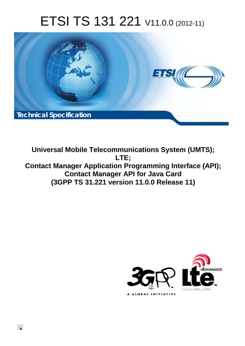# ETSI TS 131 221 V11.0.0 (2012-11)



**Universal Mobile Telecommunications System (UMTS); LTE; Contact Manager Application Programming Interface (API); Contact Manager API for Java Card (3GPP TS 31.221 version 11.0.0 Release 11)** 



 $\Box$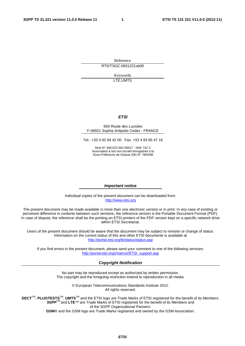Reference RTS/TSGC-0631221vb00

> Keywords LTE,UMTS

#### *ETSI*

#### 650 Route des Lucioles F-06921 Sophia Antipolis Cedex - FRANCE

Tel.: +33 4 92 94 42 00 Fax: +33 4 93 65 47 16

Siret N° 348 623 562 00017 - NAF 742 C Association à but non lucratif enregistrée à la Sous-Préfecture de Grasse (06) N° 7803/88

#### *Important notice*

Individual copies of the present document can be downloaded from: [http://www.etsi.org](http://www.etsi.org/)

The present document may be made available in more than one electronic version or in print. In any case of existing or perceived difference in contents between such versions, the reference version is the Portable Document Format (PDF). In case of dispute, the reference shall be the printing on ETSI printers of the PDF version kept on a specific network drive within ETSI Secretariat.

Users of the present document should be aware that the document may be subject to revision or change of status. Information on the current status of this and other ETSI documents is available at <http://portal.etsi.org/tb/status/status.asp>

If you find errors in the present document, please send your comment to one of the following services: [http://portal.etsi.org/chaircor/ETSI\\_support.asp](http://portal.etsi.org/chaircor/ETSI_support.asp)

#### *Copyright Notification*

No part may be reproduced except as authorized by written permission. The copyright and the foregoing restriction extend to reproduction in all media.

> © European Telecommunications Standards Institute 2012. All rights reserved.

DECT<sup>™</sup>, PLUGTESTS<sup>™</sup>, UMTS<sup>™</sup> and the ETSI logo are Trade Marks of ETSI registered for the benefit of its Members. **3GPP**TM and **LTE**™ are Trade Marks of ETSI registered for the benefit of its Members and of the 3GPP Organizational Partners.

**GSM**® and the GSM logo are Trade Marks registered and owned by the GSM Association.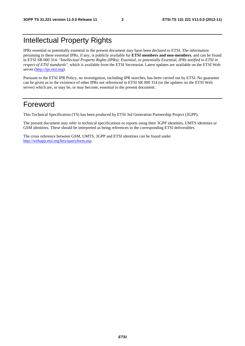# Intellectual Property Rights

IPRs essential or potentially essential to the present document may have been declared to ETSI. The information pertaining to these essential IPRs, if any, is publicly available for **ETSI members and non-members**, and can be found in ETSI SR 000 314: *"Intellectual Property Rights (IPRs); Essential, or potentially Essential, IPRs notified to ETSI in respect of ETSI standards"*, which is available from the ETSI Secretariat. Latest updates are available on the ETSI Web server [\(http://ipr.etsi.org](http://webapp.etsi.org/IPR/home.asp)).

Pursuant to the ETSI IPR Policy, no investigation, including IPR searches, has been carried out by ETSI. No guarantee can be given as to the existence of other IPRs not referenced in ETSI SR 000 314 (or the updates on the ETSI Web server) which are, or may be, or may become, essential to the present document.

### Foreword

This Technical Specification (TS) has been produced by ETSI 3rd Generation Partnership Project (3GPP).

The present document may refer to technical specifications or reports using their 3GPP identities, UMTS identities or GSM identities. These should be interpreted as being references to the corresponding ETSI deliverables.

The cross reference between GSM, UMTS, 3GPP and ETSI identities can be found under [http://webapp.etsi.org/key/queryform.asp.](http://webapp.etsi.org/key/queryform.asp)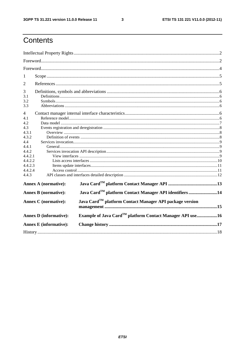$\mathbf{3}$ 

# Contents

| 1                                                                                                      |  |  |  |  |
|--------------------------------------------------------------------------------------------------------|--|--|--|--|
| 2                                                                                                      |  |  |  |  |
|                                                                                                        |  |  |  |  |
| 3                                                                                                      |  |  |  |  |
| 3.1                                                                                                    |  |  |  |  |
| 3.2                                                                                                    |  |  |  |  |
| 3.3                                                                                                    |  |  |  |  |
| 4                                                                                                      |  |  |  |  |
| 4.1                                                                                                    |  |  |  |  |
| 4.2                                                                                                    |  |  |  |  |
| 4.3                                                                                                    |  |  |  |  |
| 4.3.1                                                                                                  |  |  |  |  |
| 4.3.2                                                                                                  |  |  |  |  |
| 4.4                                                                                                    |  |  |  |  |
| 4.4.1                                                                                                  |  |  |  |  |
| 4.4.2                                                                                                  |  |  |  |  |
| 4.4.2.1                                                                                                |  |  |  |  |
| 4.4.2.2                                                                                                |  |  |  |  |
| 4.4.2.3                                                                                                |  |  |  |  |
| 4.4.2.4                                                                                                |  |  |  |  |
| 4.4.3                                                                                                  |  |  |  |  |
| <b>Annex A (normative):</b>                                                                            |  |  |  |  |
| Java Card <sup>TM</sup> platform Contact Manager API identifiers 14<br><b>Annex B</b> (normative):     |  |  |  |  |
| Java Card <sup>TM</sup> platform Contact Manager API package version<br><b>Annex C</b> (normative):    |  |  |  |  |
| Example of Java Card <sup>TM</sup> platform Contact Manager API use16<br><b>Annex D</b> (informative): |  |  |  |  |
| <b>Annex E</b> (informative):                                                                          |  |  |  |  |
|                                                                                                        |  |  |  |  |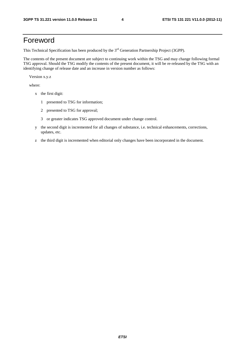## Foreword

This Technical Specification has been produced by the 3<sup>rd</sup> Generation Partnership Project (3GPP).

The contents of the present document are subject to continuing work within the TSG and may change following formal TSG approval. Should the TSG modify the contents of the present document, it will be re-released by the TSG with an identifying change of release date and an increase in version number as follows:

Version x.y.z

where:

- x the first digit:
	- 1 presented to TSG for information;
	- 2 presented to TSG for approval;
	- 3 or greater indicates TSG approved document under change control.
- y the second digit is incremented for all changes of substance, i.e. technical enhancements, corrections, updates, etc.
- z the third digit is incremented when editorial only changes have been incorporated in the document.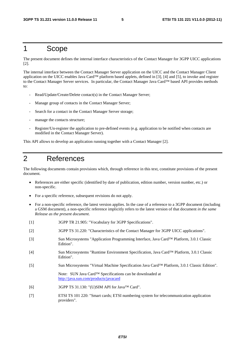### 1 Scope

The present document defines the internal interface characteristics of the Contact Manager for 3GPP UICC applications [2].

The internal interface between the Contact Manager Server application on the UICC and the Contact Manager Client application on the UICC enables Java Card™ platform based applets, defined in [3], [4] and [5], to invoke and register to the Contact Manager Server services. In particular, the Contact Manager Java Card™ based API provides methods to:

- Read/Update/Create/Delete contact(s) in the Contact Manager Server;
- Manage group of contacts in the Contact Manager Server;
- Search for a contact in the Contact Manager Server storage;
- manage the contacts structure;
- Register/Un-register the application to pre-defined events (e.g. application to be notified when contacts are modified in the Contact Manager Server).

This API allows to develop an application running together with a Contact Manager [2].

### 2 References

The following documents contain provisions which, through reference in this text, constitute provisions of the present document.

- References are either specific (identified by date of publication, edition number, version number, etc.) or non-specific.
- For a specific reference, subsequent revisions do not apply.
- For a non-specific reference, the latest version applies. In the case of a reference to a 3GPP document (including a GSM document), a non-specific reference implicitly refers to the latest version of that document *in the same Release as the present document*.
- [1] 3GPP TR 21.905: "Vocabulary for 3GPP Specifications".
- [2] 3GPP TS 31.220: "Characteristics of the Contact Manager for 3GPP UICC applications".
- [3] Sun Microsystems "Application Programming Interface, Java Card™ Platform, 3.0.1 Classic Edition".
- [4] Sun Microsystems "Runtime Environment Specification, Java Card™ Platform, 3.0.1 Classic Edition".
- [5] Sun Microsystems "Virtual Machine Specification Java Card™ Platform, 3.0.1 Classic Edition". Note: SUN Java Card™ Specifications can be downloaded at

<http://java.sun.com/products/javacard>

- [6] 3GPP TS 31.130: "(U)SIM API for Java™ Card".
- [7] ETSI TS 101 220: "Smart cards; ETSI numbering system for telecommunication application providers".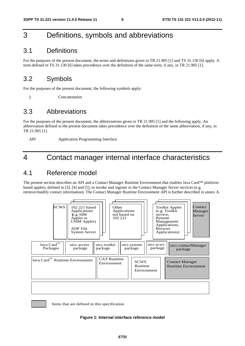# 3 Definitions, symbols and abbreviations

### 3.1 Definitions

For the purposes of the present document, the terms and definitions given in TR 21.905 [1] and TS 31.130 [6] apply. A term defined in TS 31.130 [6] takes precedence over the definition of the same term, if any, in TR 21.905 [1].

### 3.2 Symbols

For the purposes of the present document, the following symbols apply:

|| Concatenation

### 3.3 Abbreviations

For the purposes of the present document, the abbreviations given in TR 21.905 [1] and the following apply. An abbreviation defined in the present document takes precedence over the definition of the same abbreviation, if any, in TR 21.905 [1].

API Application Programming Interface

# 4 Contact manager internal interface characteristics

### 4.1 Reference model

The present section describes an API and a Contact Manager Runtime Environment that enables Java Card™ platform based applets, defined in [3], [4] and [5], to invoke and register to the Contact Manager Server services (e.g. retrieve/modify contact information). The Contact Manager Runtime Environment API is further described in annex A.



Items that are defined in this specification

#### **Figure 1: Internal interface reference model**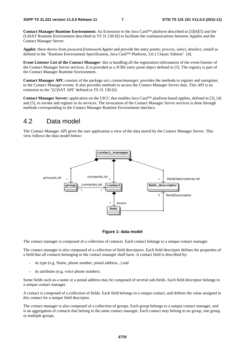**Contact Manager Runtime Environment:** An Extension to the Java Card™ platform described in [3][4][5] and the (U)SAT Runtime Environment described in TS 31.130 [6] to facilitate the communications between Applets and the Contact Manager Server.

**Applet:** these derive from *javacard.framework.Applet* and provide the entry points: *process, select, deselect, install* as defined in the "Runtime Environment Specification, Java Card™ Platform, 3.0.1 Classic Edition" [4].

**Event Listener List of the Contact Manager**: this is handling all the registration information of the event listener of the Contact Manager Server services. It is provided as a JCRE entry point object defined in [5]. The registry is part of the Contact Manager Runtime Environment.

**Contact Manager API**: consists of the package *uicc.contactmanager*, provides the methods to register and unregister, to the Contact Manager events. It also provides methods to access the Contact Manager Server data. This API is an extension to the "(U)SAT API" defined in TS 31 130 [6].

**Contact Manager Server:** application on the UICC that enables Java Card™ platform based applets, defined in [3], [4] and [5], to invoke and register to its services. The invocation of the Contact Manager Server services is done through methods corresponding to the Contact Manager Runtime Environment interface.

### 4.2 Data model

The Contact Manager API gives the user application a view of the data stored by the Contact Manager Server. This view follows the data model below:



#### **Figure 1: data model**

The contact manager is composed of a collection of contacts. Each contact belongs to a unique contact manager.

The contact manager is also composed of a collection of field descriptors. Each field descriptor defines the properties of a field that all contacts belonging to the contact manager shall have. A contact field is described by:

- its type (e.g. Name, phone number, postal address,..) and
- its attributes (e.g. voice phone number).

Some fields such as a name or a postal address may be composed of several sub-fields. Each field descriptor belongs to a unique contact manager.

A contact is composed of a collection of fields. Each field belongs to a unique contact, and defines the value assigned to this contact for a unique field descriptor.

The contact manager is also composed of a collection of groups. Each group belongs to a unique contact manager, and is an aggregation of contacts that belong to the same contact manager. Each contact may belong to no group, one group, or multiple groups.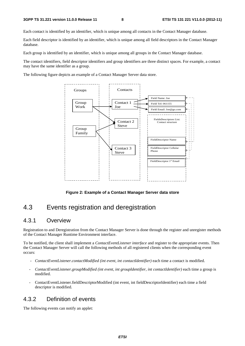#### **3GPP TS 31.221 version 11.0.0 Release 11 8 ETSI TS 131 221 V11.0.0 (2012-11)**

Each contact is identified by an identifier, which is unique among all contacts in the Contact Manager database.

Each field descriptor is identified by an identifier, which is unique among all field descriptors in the Contact Manager database.

Each group is identified by an identifier, which is unique among all groups in the Contact Manager database.

The contact identifiers, field descriptor identifiers and group identifiers are three distinct spaces. For example, a contact may have the same identifier as a group.

The following figure depicts an example of a Contact Manager Server data store.



**Figure 2: Example of a Contact Manager Server data store** 

## 4.3 Events registration and deregistration

### 4.3.1 Overview

Registration to and Deregistration from the Contact Manager Server is done through the register and unregister methods of the Contact Manager Runtime Environment interface.

To be notified, the client shall implement a *ContactEventListener interface* and register to the appropriate events. Then the Contact Manager Server will call the following methods of all registered clients when the corresponding event occurs:

- *ContactEventListener.contactModified (int event, int contactIdentifier)* each time a contact is modified.
- *ContactEventListener.groupModified (int event, int groupIdentifier, int contactIdentifier)* each time a group is modified.
- ContactEventListener.fieldDescriptorModified (int event, int fieldDescriptorIdentifier) each time a field descriptor is modified.

### 4.3.2 Definition of events

The following events can notify an applet: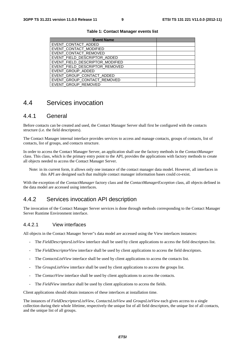| <b>Event Name</b>               |  |
|---------------------------------|--|
| EVENT_CONTACT_ADDED             |  |
| EVENT_CONTACT_MODIFIED          |  |
| EVENT_CONTACT_REMOVED           |  |
| EVENT_FIELD_DESCRIPTOR_ADDED    |  |
| EVENT_FIELD_DESCRIPTOR_MODIFIED |  |
| EVENT_FIELD_DESCRIPTOR_REMOVED  |  |
| EVENT_GROUP_ADDED               |  |
| EVENT_GROUP_CONTACT_ADDED       |  |
| EVENT_GROUP_CONTACT_REMOVED     |  |
| EVENT_GROUP_REMOVED             |  |

#### **Table 1: Contact Manager events list**

### 4.4 Services invocation

#### 4.4.1 General

Before contacts can be created and used, the Contact Manager Server shall first be configured with the contacts structure (i.e. the field descriptors).

The Contact Manager internal interface provides services to access and manage contacts, groups of contacts, list of contacts, list of groups, and contacts structure.

In order to access the Contact Manager Server, an application shall use the factory methods in the *ContactManager* class. This class, which is the primary entry point to the API, provides the applications with factory methods to create all objects needed to access the Contact Manager Server.

Note: in its current form, it allows only one instance of the contact manager data model. However, all interfaces in this API are designed such that multiple contact manager information bases could co-exist.

With the exception of the *ContactManager* factory class and the *ContactManagerException* class, all objects defined in the data model are accessed using interfaces.

### 4.4.2 Services invocation API description

The invocation of the Contact Manager Server services is done through methods corresponding to the Contact Manager Server Runtime Environment interface.

#### 4.4.2.1 View interfaces

All objects in the Contact Manager Server"s data model are accessed using the View interfaces instances:

- The *FieldDescriptorsListView* interface shall be used by client applications to access the field descriptors list.
- The *FieldDescriptorView* interface shall be used by client applications to access the field descriptors.
- The *ContactsListView* interface shall be used by client applications to access the contacts list.
- The *GroupsListView* interface shall be used by client applications to access the groups list.
- The *ContactView* interface shall be used by client applications to access the contacts.
- The *FieldView* interface shall be used by client applications to access the fields.

Client applications should obtain instances of these interfaces at installation time.

The instances of *FieldDescriptorsListView*, *ContactsListView* and *GroupsListView* each gives access to a single collection during their whole lifetime, respectively the unique list of all field descriptors, the unique list of all contacts, and the unique list of all groups.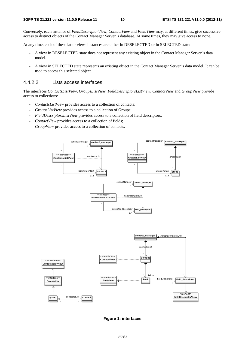Conversely, each instance of *FieldDescriptorView*, *ContactView* and *FieldView* may, at different times, give successive access to distinct objects of the Contact Manager Server"s database. At some times, they may give access to none.

At any time, each of these latter views instances are either in DESELECTED or in SELECTED state:

- A view in DESELECTED state does not represent any existing object in the Contact Manager Server"s data model.
- A view in SELECTED state represents an existing object in the Contact Manager Server"s data model. It can be used to access this selected object.

#### 4.4.2.2 Lists access interfaces

The interfaces *ContactsListView*, *GroupsListView*, *FieldDescriptorsListView*, *ContactView* and *GroupView* provide access to collections:

- *ContactsListView* provides access to a collection of contacts;
- *GroupsListView* provides access to a collection of Groups;
- *FieldDescriptorsListView* provides access to a collection of field descriptors;
- *ContactView* provides access to a collection of fields;
- *GroupView* provides access to a collection of contacts.



**Figure 1: interfaces**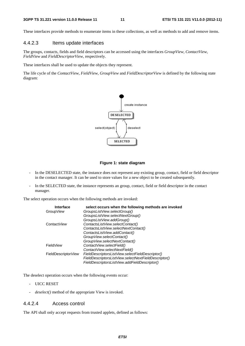These interfaces provide methods to enumerate items in these collections, as well as methods to add and remove items.

#### 4.4.2.3 Items update interfaces

The groups, contacts, fields and field descriptors can be accessed using the interfaces *GroupView*, *ContactView*, *FieldView* and *FieldDescriptorView*, respectively.

These interfaces shall be used to update the objects they represent.

The life cycle of the *ContactView*, *FieldView*, *GroupView* and *FieldDescriptorView* is defined by the following state diagram:



#### **Figure 1: state diagram**

- In the DESELECTED state, the instance does not represent any existing group, contact, field or field descriptor in the contact manager. It can be used to store values for a new object to be created subsequently.
- In the SELECTED state, the instance represents an group, contact, field or field descriptor in the contact manager.

The select operation occurs when the following methods are invoked:

| Interface            | select occurs when the following methods are invoked |
|----------------------|------------------------------------------------------|
| Group View           | GroupsListView.selectGroup()                         |
|                      | GroupsListView.selectNextGroup()                     |
|                      | GroupsListView.addGroup()                            |
| Contact View         | ContactsListView.selectContact()                     |
|                      | ContactsListView.selectNextContact()                 |
|                      | ContactsListView.addContact()                        |
|                      | Group View.selectContact()                           |
|                      | Group View.selectNextContact()                       |
| Field <i>View</i>    | ContactView.selectField()                            |
|                      | ContactView.selectNextField()                        |
| FieldDescriptor View | FieldDescriptorsListView.selectFieldDescriptor()     |
|                      | FieldDescriptorsListView.selectNextFieldDescriptor() |
|                      | FieldDescriptorsListView.addFieldDescriptor()        |

The deselect operation occurs when the following events occur:

- UICC RESET
- *deselect()* method of the appropriate View is invoked.

#### 4.4.2.4 Access control

The API shall only accept requests from trusted applets, defined as follows: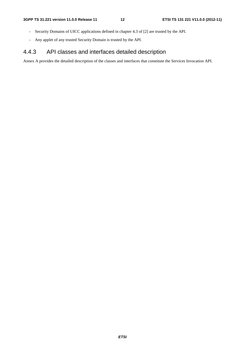- Security Domains of UICC applications defined in chapter 4.3 of [2] are trusted by the API.
- Any applet of any trusted Security Domain is trusted by the API.

### 4.4.3 API classes and interfaces detailed description

Annex A provides the detailed description of the classes and interfaces that constitute the Services Invocation API.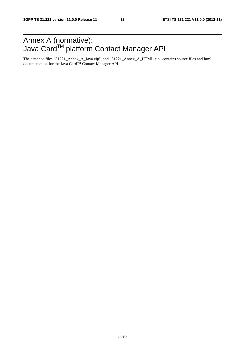# Annex A (normative): Java Card™ platform Contact Manager API

The attached files "31221\_Annex\_A\_Java.zip", and "31221\_Annex\_A\_HTML.zip" contains source files and html documentation for the Java Card™ Contact Manager API.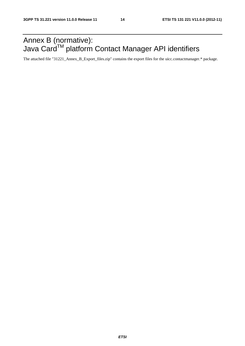# Annex B (normative): Java Card<sup>TM</sup> platform Contact Manager API identifiers

The attached file "31221\_Annex\_B\_Export\_files.zip" contains the export files for the uicc.contactmanager.\* package.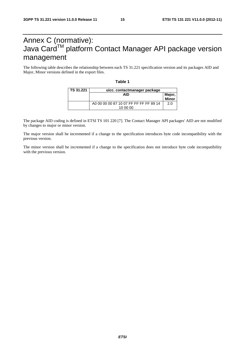# Annex C (normative): Java Card™ platform Contact Manager API package version management

The following table describes the relationship between each TS 31.221 specification version and its packages AID and Major, Minor versions defined in the export files.

**Table 1** 

| TS 31.221 | uicc. contactmanager package                       |                 |  |  |  |
|-----------|----------------------------------------------------|-----------------|--|--|--|
|           | <b>AID</b>                                         | Major,<br>Minor |  |  |  |
|           | A0 00 00 00 87 10 07 FF FF FF FF 89 14<br>10 00 00 | 2.0             |  |  |  |

The package AID coding is defined in ETSI TS 101 220 [7]. The Contact Manager API packages' AID are not modified by changes to major or minor version.

The major version shall be incremented if a change to the specification introduces byte code incompatibility with the previous version.

The minor version shall be incremented if a change to the specification does not introduce byte code incompatibility with the previous version.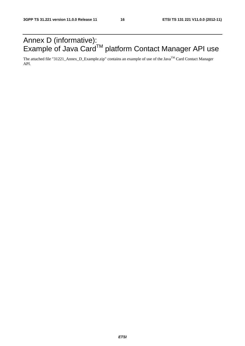# Annex D (informative): Example of Java Card™ platform Contact Manager API use

The attached file "31221\_Annex\_D\_Example.zip" contains an example of use of the Java<sup>TM</sup> Card Contact Manager API.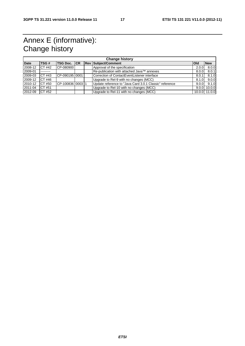# Annex E (informative): Change history

| <b>Change history</b> |        |                     |  |  |                                                         |              |               |
|-----------------------|--------|---------------------|--|--|---------------------------------------------------------|--------------|---------------|
| <b>Date</b>           | TSG#   | <b>TSG Doc. ICR</b> |  |  | <b>Rev Subject/Comment</b>                              | <b>l</b> Old | <b>New</b>    |
| 2008-12               | CT #42 | CP-080900           |  |  | Approval of the specification                           | 2.0.0        | 8.0.0         |
| 2009-01               |        |                     |  |  | Re-publication with attached Java™ annexes              | 8.0.0        | 8.0.1         |
| 2009-03               | CT #43 | CP-09019510001      |  |  | Correction of ContactEventListener interface            | 8.0.1        | 8.1.0         |
| 2009-12               | CT #46 |                     |  |  | Upgrade to Rel-9 with no changes (MCC)                  | 8.1.0        | 9.0.0         |
| 2010-12               | CT #50 | CP-100836100031     |  |  | Update reference to "Java Card 3.0.1 Classic" reference | 9.0.0        | 9.1.0         |
| 2011-04               | CT #51 |                     |  |  | Upgrade to Rel-10 with no changes (MCC)                 | 9.0.0        | 10.0.0        |
| 2012-09               | CT #52 |                     |  |  | Upgrade to Rel-11 with no changes (MCC)                 |              | 10.0.0 11.0.0 |